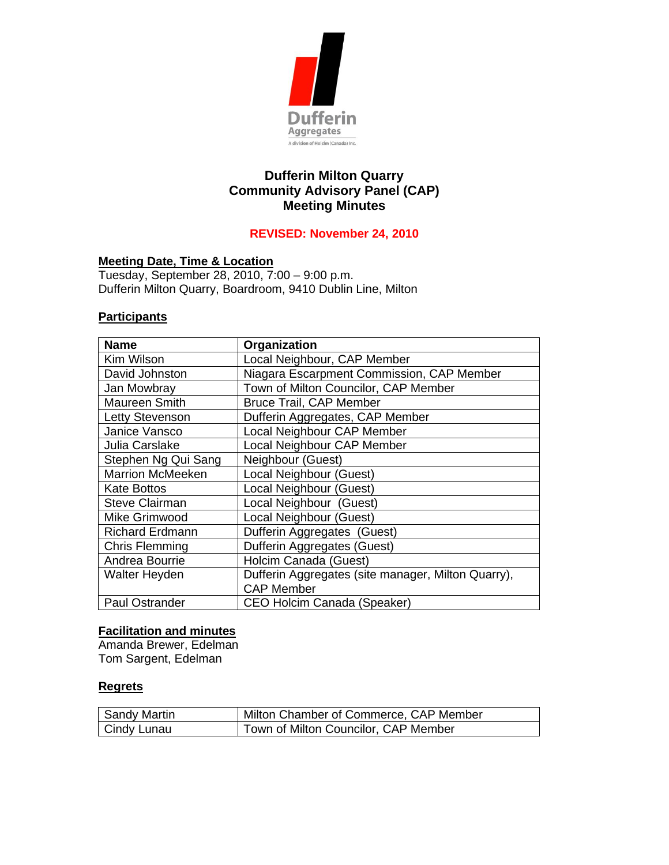

# **Dufferin Milton Quarry Community Advisory Panel (CAP) Meeting Minutes**

## **REVISED: November 24, 2010**

#### **Meeting Date, Time & Location**

Tuesday, September 28, 2010, 7:00 – 9:00 p.m. Dufferin Milton Quarry, Boardroom, 9410 Dublin Line, Milton

### **Participants**

| <b>Name</b>             | Organization                                       |
|-------------------------|----------------------------------------------------|
| Kim Wilson              | Local Neighbour, CAP Member                        |
| David Johnston          | Niagara Escarpment Commission, CAP Member          |
| Jan Mowbray             | Town of Milton Councilor, CAP Member               |
| <b>Maureen Smith</b>    | <b>Bruce Trail, CAP Member</b>                     |
| Letty Stevenson         | Dufferin Aggregates, CAP Member                    |
| Janice Vansco           | Local Neighbour CAP Member                         |
| Julia Carslake          | Local Neighbour CAP Member                         |
| Stephen Ng Qui Sang     | Neighbour (Guest)                                  |
| <b>Marrion McMeeken</b> | Local Neighbour (Guest)                            |
| <b>Kate Bottos</b>      | Local Neighbour (Guest)                            |
| <b>Steve Clairman</b>   | Local Neighbour (Guest)                            |
| Mike Grimwood           | Local Neighbour (Guest)                            |
| <b>Richard Erdmann</b>  | Dufferin Aggregates (Guest)                        |
| <b>Chris Flemming</b>   | Dufferin Aggregates (Guest)                        |
| Andrea Bourrie          | Holcim Canada (Guest)                              |
| Walter Heyden           | Dufferin Aggregates (site manager, Milton Quarry), |
|                         | <b>CAP Member</b>                                  |
| <b>Paul Ostrander</b>   | <b>CEO Holcim Canada (Speaker)</b>                 |

# **Facilitation and minutes**

Amanda Brewer, Edelman Tom Sargent, Edelman

#### **Regrets**

| Sandy Martin | Milton Chamber of Commerce, CAP Member |
|--------------|----------------------------------------|
| Cindy Lunau  | Town of Milton Councilor, CAP Member   |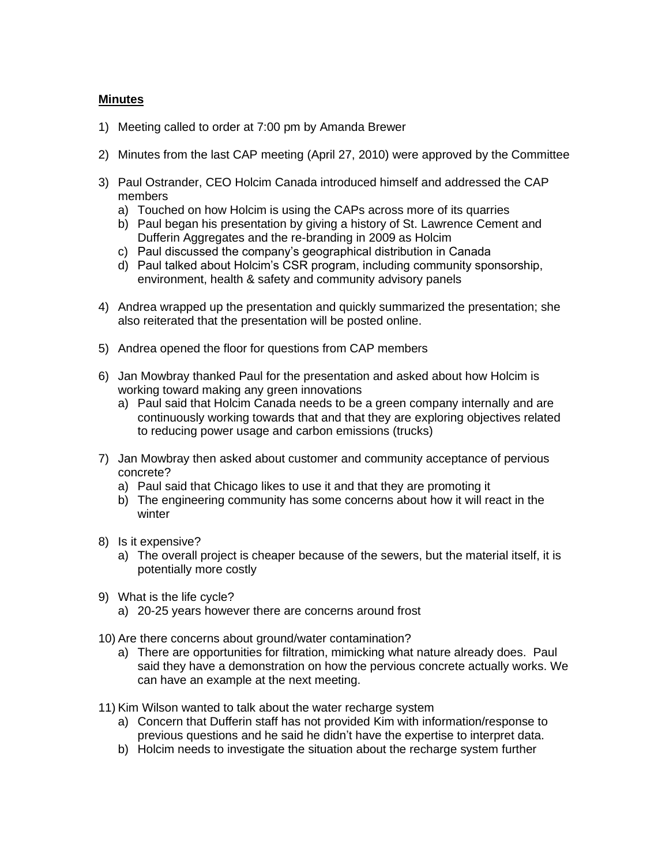#### **Minutes**

- 1) Meeting called to order at 7:00 pm by Amanda Brewer
- 2) Minutes from the last CAP meeting (April 27, 2010) were approved by the Committee
- 3) Paul Ostrander, CEO Holcim Canada introduced himself and addressed the CAP members
	- a) Touched on how Holcim is using the CAPs across more of its quarries
	- b) Paul began his presentation by giving a history of St. Lawrence Cement and Dufferin Aggregates and the re-branding in 2009 as Holcim
	- c) Paul discussed the company's geographical distribution in Canada
	- d) Paul talked about Holcim's CSR program, including community sponsorship, environment, health & safety and community advisory panels
- 4) Andrea wrapped up the presentation and quickly summarized the presentation; she also reiterated that the presentation will be posted online.
- 5) Andrea opened the floor for questions from CAP members
- 6) Jan Mowbray thanked Paul for the presentation and asked about how Holcim is working toward making any green innovations
	- a) Paul said that Holcim Canada needs to be a green company internally and are continuously working towards that and that they are exploring objectives related to reducing power usage and carbon emissions (trucks)
- 7) Jan Mowbray then asked about customer and community acceptance of pervious concrete?
	- a) Paul said that Chicago likes to use it and that they are promoting it
	- b) The engineering community has some concerns about how it will react in the winter
- 8) Is it expensive?
	- a) The overall project is cheaper because of the sewers, but the material itself, it is potentially more costly
- 9) What is the life cycle?
	- a) 20-25 years however there are concerns around frost
- 10) Are there concerns about ground/water contamination?
	- a) There are opportunities for filtration, mimicking what nature already does. Paul said they have a demonstration on how the pervious concrete actually works. We can have an example at the next meeting.
- 11) Kim Wilson wanted to talk about the water recharge system
	- a) Concern that Dufferin staff has not provided Kim with information/response to previous questions and he said he didn't have the expertise to interpret data.
	- b) Holcim needs to investigate the situation about the recharge system further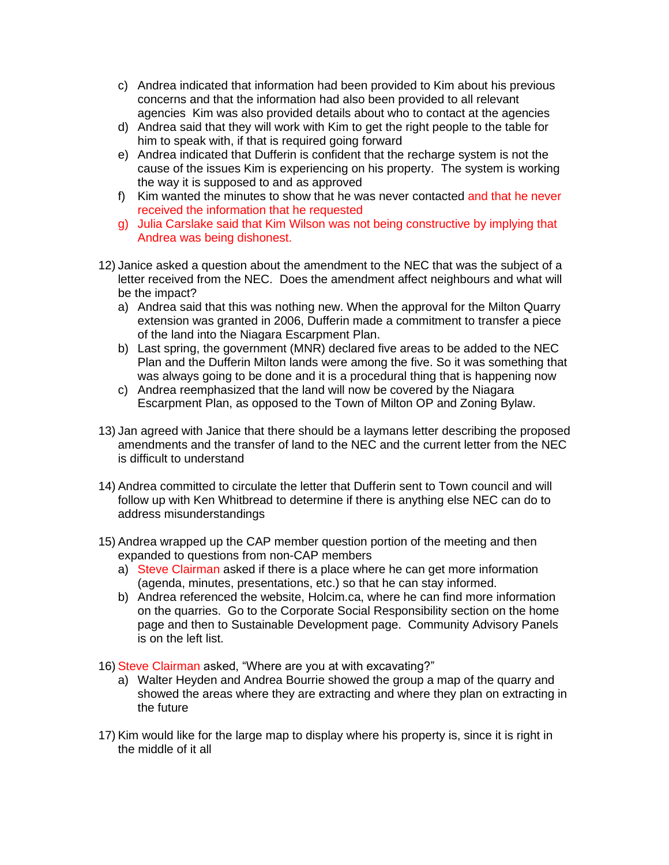- c) Andrea indicated that information had been provided to Kim about his previous concerns and that the information had also been provided to all relevant agencies Kim was also provided details about who to contact at the agencies
- d) Andrea said that they will work with Kim to get the right people to the table for him to speak with, if that is required going forward
- e) Andrea indicated that Dufferin is confident that the recharge system is not the cause of the issues Kim is experiencing on his property. The system is working the way it is supposed to and as approved
- f) Kim wanted the minutes to show that he was never contacted and that he never received the information that he requested
- g) Julia Carslake said that Kim Wilson was not being constructive by implying that Andrea was being dishonest.
- 12) Janice asked a question about the amendment to the NEC that was the subject of a letter received from the NEC. Does the amendment affect neighbours and what will be the impact?
	- a) Andrea said that this was nothing new. When the approval for the Milton Quarry extension was granted in 2006, Dufferin made a commitment to transfer a piece of the land into the Niagara Escarpment Plan.
	- b) Last spring, the government (MNR) declared five areas to be added to the NEC Plan and the Dufferin Milton lands were among the five. So it was something that was always going to be done and it is a procedural thing that is happening now
	- c) Andrea reemphasized that the land will now be covered by the Niagara Escarpment Plan, as opposed to the Town of Milton OP and Zoning Bylaw.
- 13) Jan agreed with Janice that there should be a laymans letter describing the proposed amendments and the transfer of land to the NEC and the current letter from the NEC is difficult to understand
- 14) Andrea committed to circulate the letter that Dufferin sent to Town council and will follow up with Ken Whitbread to determine if there is anything else NEC can do to address misunderstandings
- 15) Andrea wrapped up the CAP member question portion of the meeting and then expanded to questions from non-CAP members
	- a) Steve Clairman asked if there is a place where he can get more information (agenda, minutes, presentations, etc.) so that he can stay informed.
	- b) Andrea referenced the website, Holcim.ca, where he can find more information on the quarries. Go to the Corporate Social Responsibility section on the home page and then to Sustainable Development page. Community Advisory Panels is on the left list.
- 16) Steve Clairman asked, "Where are you at with excavating?"
	- a) Walter Heyden and Andrea Bourrie showed the group a map of the quarry and showed the areas where they are extracting and where they plan on extracting in the future
- 17) Kim would like for the large map to display where his property is, since it is right in the middle of it all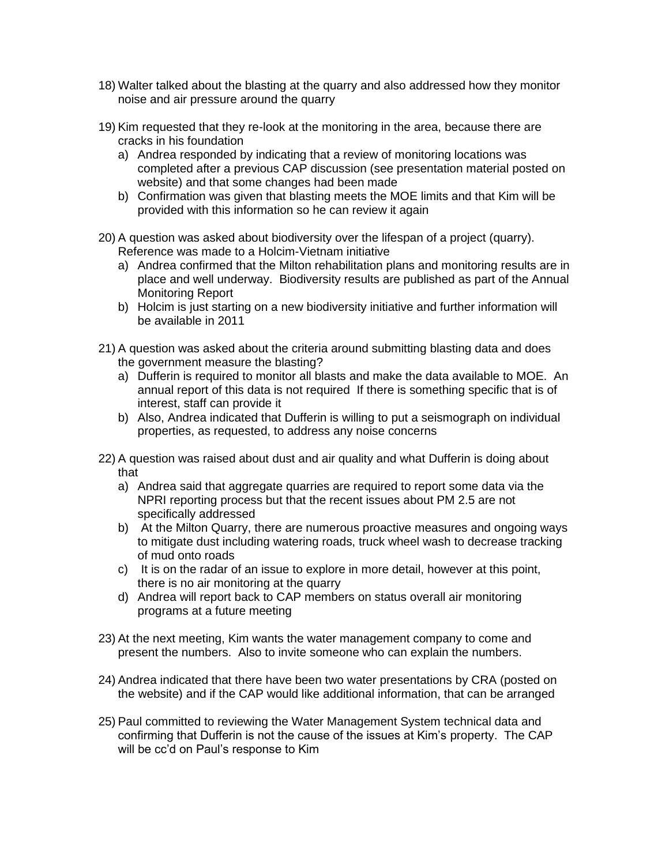- 18) Walter talked about the blasting at the quarry and also addressed how they monitor noise and air pressure around the quarry
- 19) Kim requested that they re-look at the monitoring in the area, because there are cracks in his foundation
	- a) Andrea responded by indicating that a review of monitoring locations was completed after a previous CAP discussion (see presentation material posted on website) and that some changes had been made
	- b) Confirmation was given that blasting meets the MOE limits and that Kim will be provided with this information so he can review it again
- 20) A question was asked about biodiversity over the lifespan of a project (quarry). Reference was made to a Holcim-Vietnam initiative
	- a) Andrea confirmed that the Milton rehabilitation plans and monitoring results are in place and well underway. Biodiversity results are published as part of the Annual Monitoring Report
	- b) Holcim is just starting on a new biodiversity initiative and further information will be available in 2011
- 21) A question was asked about the criteria around submitting blasting data and does the government measure the blasting?
	- a) Dufferin is required to monitor all blasts and make the data available to MOE. An annual report of this data is not required If there is something specific that is of interest, staff can provide it
	- b) Also, Andrea indicated that Dufferin is willing to put a seismograph on individual properties, as requested, to address any noise concerns
- 22) A question was raised about dust and air quality and what Dufferin is doing about that
	- a) Andrea said that aggregate quarries are required to report some data via the NPRI reporting process but that the recent issues about PM 2.5 are not specifically addressed
	- b) At the Milton Quarry, there are numerous proactive measures and ongoing ways to mitigate dust including watering roads, truck wheel wash to decrease tracking of mud onto roads
	- c) It is on the radar of an issue to explore in more detail, however at this point, there is no air monitoring at the quarry
	- d) Andrea will report back to CAP members on status overall air monitoring programs at a future meeting
- 23) At the next meeting, Kim wants the water management company to come and present the numbers. Also to invite someone who can explain the numbers.
- 24) Andrea indicated that there have been two water presentations by CRA (posted on the website) and if the CAP would like additional information, that can be arranged
- 25) Paul committed to reviewing the Water Management System technical data and confirming that Dufferin is not the cause of the issues at Kim's property. The CAP will be cc'd on Paul's response to Kim